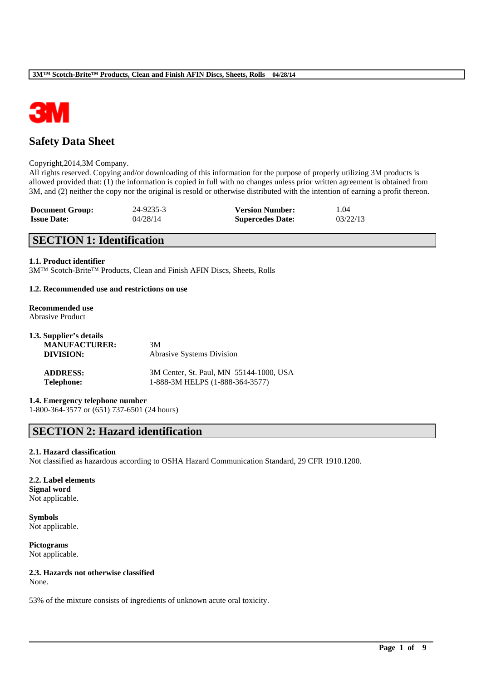

# **Safety Data Sheet**

#### Copyright,2014,3M Company.

All rights reserved. Copying and/or downloading of this information for the purpose of properly utilizing 3M products is allowed provided that: (1) the information is copied in full with no changes unless prior written agreement is obtained from 3M, and (2) neither the copy nor the original is resold or otherwise distributed with the intention of earning a profit thereon.

| <b>Document Group:</b> | 24-9235-3 | <b>Version Number:</b>  | 1.04     |
|------------------------|-----------|-------------------------|----------|
| <b>Issue Date:</b>     | 04/28/14  | <b>Supercedes Date:</b> | 03/22/13 |

# **SECTION 1: Identification**

#### **1.1. Product identifier**

3M™ Scotch-Brite™ Products, Clean and Finish AFIN Discs, Sheets, Rolls

#### **1.2. Recommended use and restrictions on use**

#### **Recommended use** Abrasive Product

| 1.3. Supplier's details<br><b>MANUFACTURER:</b><br>DIVISION: | 3M<br>Abrasive Systems Division         |
|--------------------------------------------------------------|-----------------------------------------|
| <b>ADDRESS:</b>                                              | 3M Center, St. Paul, MN 55144-1000, USA |
| <b>Telephone:</b>                                            | 1-888-3M HELPS (1-888-364-3577)         |

# **1.4. Emergency telephone number**

1-800-364-3577 or (651) 737-6501 (24 hours)

# **SECTION 2: Hazard identification**

# **2.1. Hazard classification**

Not classified as hazardous according to OSHA Hazard Communication Standard, 29 CFR 1910.1200.

\_\_\_\_\_\_\_\_\_\_\_\_\_\_\_\_\_\_\_\_\_\_\_\_\_\_\_\_\_\_\_\_\_\_\_\_\_\_\_\_\_\_\_\_\_\_\_\_\_\_\_\_\_\_\_\_\_\_\_\_\_\_\_\_\_\_\_\_\_\_\_\_\_\_\_\_\_\_\_\_\_\_\_\_\_\_\_\_\_\_

#### **2.2. Label elements Signal word** Not applicable.

**Symbols** Not applicable.

**Pictograms** Not applicable.

# **2.3. Hazards not otherwise classified**

None.

53% of the mixture consists of ingredients of unknown acute oral toxicity.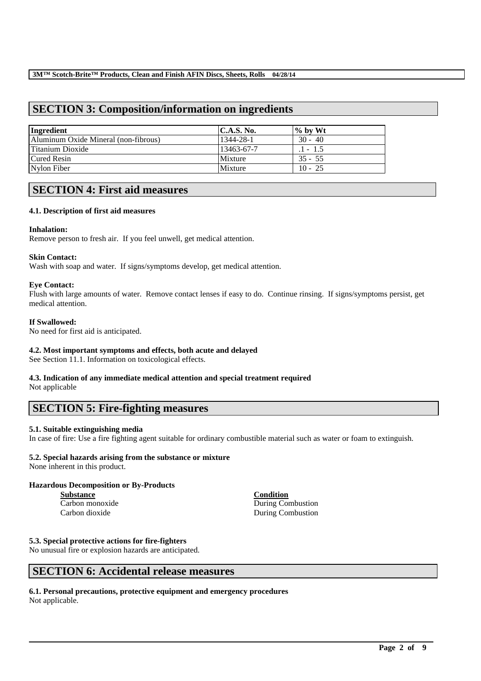# **SECTION 3: Composition/information on ingredients**

| Ingredient                           | C.A.S. No. | $\%$ by Wt |
|--------------------------------------|------------|------------|
| Aluminum Oxide Mineral (non-fibrous) | 1344-28-1  | $30 - 40$  |
| Titanium Dioxide                     | 13463-67-7 | $.1 - 1.5$ |
| <b>Cured Resin</b>                   | Mixture    | $35 - 55$  |
| Nylon Fiber                          | Mixture    | $10 - 25$  |

# **SECTION 4: First aid measures**

# **4.1. Description of first aid measures**

#### **Inhalation:**

Remove person to fresh air. If you feel unwell, get medical attention.

#### **Skin Contact:**

Wash with soap and water. If signs/symptoms develop, get medical attention.

#### **Eye Contact:**

Flush with large amounts of water. Remove contact lenses if easy to do. Continue rinsing. If signs/symptoms persist, get medical attention.

#### **If Swallowed:**

No need for first aid is anticipated.

## **4.2. Most important symptoms and effects, both acute and delayed**

See Section 11.1. Information on toxicological effects.

# **4.3. Indication of any immediate medical attention and special treatment required**

Not applicable

# **SECTION 5: Fire-fighting measures**

# **5.1. Suitable extinguishing media**

In case of fire: Use a fire fighting agent suitable for ordinary combustible material such as water or foam to extinguish.

\_\_\_\_\_\_\_\_\_\_\_\_\_\_\_\_\_\_\_\_\_\_\_\_\_\_\_\_\_\_\_\_\_\_\_\_\_\_\_\_\_\_\_\_\_\_\_\_\_\_\_\_\_\_\_\_\_\_\_\_\_\_\_\_\_\_\_\_\_\_\_\_\_\_\_\_\_\_\_\_\_\_\_\_\_\_\_\_\_\_

# **5.2. Special hazards arising from the substance or mixture**

None inherent in this product.

# **Hazardous Decomposition or By-Products**

**Substance Condition**

Carbon monoxide During Combustion Carbon dioxide During Combustion

#### **5.3. Special protective actions for fire-fighters**

No unusual fire or explosion hazards are anticipated.

# **SECTION 6: Accidental release measures**

#### **6.1. Personal precautions, protective equipment and emergency procedures** Not applicable.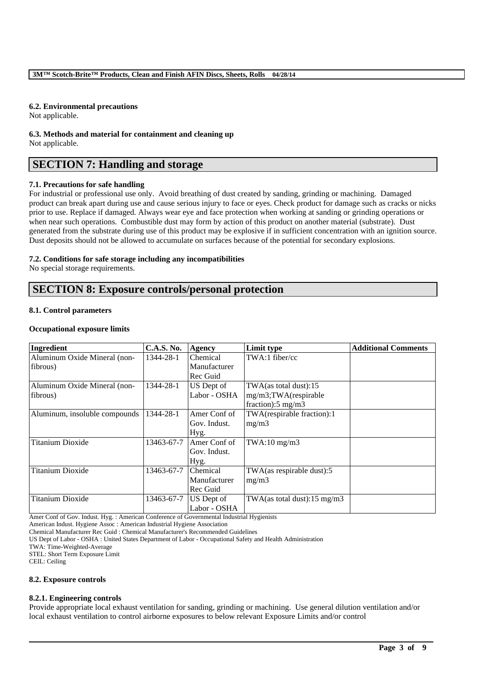## **6.2. Environmental precautions**

Not applicable.

**6.3. Methods and material for containment and cleaning up** Not applicable.

# **SECTION 7: Handling and storage**

# **7.1. Precautions for safe handling**

For industrial or professional use only. Avoid breathing of dust created by sanding, grinding or machining. Damaged product can break apart during use and cause serious injury to face or eyes. Check product for damage such as cracks or nicks prior to use. Replace if damaged. Always wear eye and face protection when working at sanding or grinding operations or when near such operations. Combustible dust may form by action of this product on another material (substrate). Dust generated from the substrate during use of this product may be explosive if in sufficient concentration with an ignition source. Dust deposits should not be allowed to accumulate on surfaces because of the potential for secondary explosions.

# **7.2. Conditions for safe storage including any incompatibilities**

No special storage requirements.

# **SECTION 8: Exposure controls/personal protection**

# **8.1. Control parameters**

#### **Occupational exposure limits**

| Ingredient                    | <b>C.A.S. No.</b> | Agency       | Limit type                              | <b>Additional Comments</b> |
|-------------------------------|-------------------|--------------|-----------------------------------------|----------------------------|
| Aluminum Oxide Mineral (non-  | 1344-28-1         | Chemical     | TWA:1 fiber/cc                          |                            |
| fibrous)                      |                   | Manufacturer |                                         |                            |
|                               |                   | Rec Guid     |                                         |                            |
| Aluminum Oxide Mineral (non-  | 1344-28-1         | US Dept of   | TWA(as total dust):15                   |                            |
| fibrous)                      |                   | Labor - OSHA | mg/m3;TWA(respirable                    |                            |
|                               |                   |              | fraction): $5 \text{ mg/m}$ 3           |                            |
| Aluminum, insoluble compounds | 1344-28-1         | Amer Conf of | TWA(respirable fraction):1              |                            |
|                               |                   | Gov. Indust. | mg/m3                                   |                            |
|                               |                   | Hyg.         |                                         |                            |
| <b>Titanium Dioxide</b>       | 13463-67-7        | Amer Conf of | $TWA:10$ mg/m $3$                       |                            |
|                               |                   | Gov. Indust. |                                         |                            |
|                               |                   | $Hyg$ .      |                                         |                            |
| <b>Titanium Dioxide</b>       | 13463-67-7        | Chemical     | TWA(as respirable dust):5               |                            |
|                               |                   | Manufacturer | mg/m3                                   |                            |
|                               |                   | Rec Guid     |                                         |                            |
| <b>Titanium Dioxide</b>       | 13463-67-7        | US Dept of   | TWA(as total dust): $15 \text{ mg/m}$ 3 |                            |
| .                             |                   | Labor - OSHA |                                         |                            |

Amer Conf of Gov. Indust. Hyg. : American Conference of Governmental Industrial Hygienists

American Indust. Hygiene Assoc : American Industrial Hygiene Association

Chemical Manufacturer Rec Guid : Chemical Manufacturer's Recommended Guidelines

US Dept of Labor - OSHA : United States Department of Labor - Occupational Safety and Health Administration

TWA: Time-Weighted-Average

STEL: Short Term Exposure Limit

CEIL: Ceiling

#### **8.2. Exposure controls**

# **8.2.1. Engineering controls**

Provide appropriate local exhaust ventilation for sanding, grinding or machining. Use general dilution ventilation and/or local exhaust ventilation to control airborne exposures to below relevant Exposure Limits and/or control

\_\_\_\_\_\_\_\_\_\_\_\_\_\_\_\_\_\_\_\_\_\_\_\_\_\_\_\_\_\_\_\_\_\_\_\_\_\_\_\_\_\_\_\_\_\_\_\_\_\_\_\_\_\_\_\_\_\_\_\_\_\_\_\_\_\_\_\_\_\_\_\_\_\_\_\_\_\_\_\_\_\_\_\_\_\_\_\_\_\_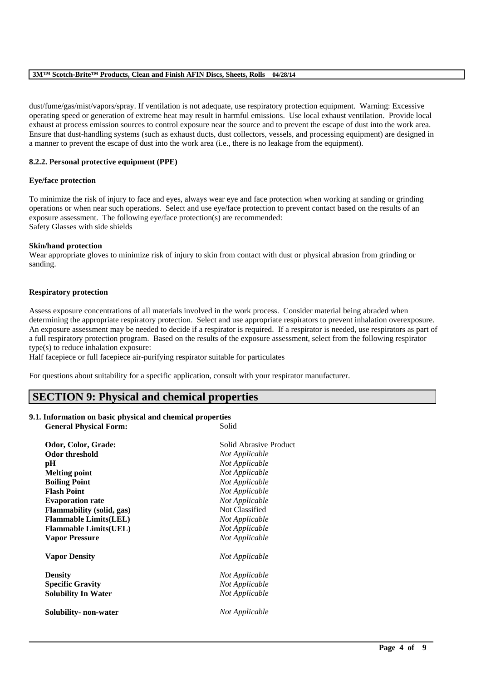#### **3M™ Scotch-Brite™ Products, Clean and Finish AFIN Discs, Sheets, Rolls 04/28/14**

dust/fume/gas/mist/vapors/spray. If ventilation is not adequate, use respiratory protection equipment. Warning: Excessive operating speed or generation of extreme heat may result in harmful emissions. Use local exhaust ventilation. Provide local exhaust at process emission sources to control exposure near the source and to prevent the escape of dust into the work area. Ensure that dust-handling systems (such as exhaust ducts, dust collectors, vessels, and processing equipment) are designed in a manner to prevent the escape of dust into the work area (i.e., there is no leakage from the equipment).

## **8.2.2. Personal protective equipment (PPE)**

#### **Eye/face protection**

To minimize the risk of injury to face and eyes, always wear eye and face protection when working at sanding or grinding operations or when near such operations. Select and use eye/face protection to prevent contact based on the results of an exposure assessment. The following eye/face protection(s) are recommended: Safety Glasses with side shields

#### **Skin/hand protection**

Wear appropriate gloves to minimize risk of injury to skin from contact with dust or physical abrasion from grinding or sanding.

#### **Respiratory protection**

Assess exposure concentrations of all materials involved in the work process. Consider material being abraded when determining the appropriate respiratory protection. Select and use appropriate respirators to prevent inhalation overexposure. An exposure assessment may be needed to decide if a respirator is required. If a respirator is needed, use respirators as part of a full respiratory protection program. Based on the results of the exposure assessment, select from the following respirator type(s) to reduce inhalation exposure:

\_\_\_\_\_\_\_\_\_\_\_\_\_\_\_\_\_\_\_\_\_\_\_\_\_\_\_\_\_\_\_\_\_\_\_\_\_\_\_\_\_\_\_\_\_\_\_\_\_\_\_\_\_\_\_\_\_\_\_\_\_\_\_\_\_\_\_\_\_\_\_\_\_\_\_\_\_\_\_\_\_\_\_\_\_\_\_\_\_\_

Half facepiece or full facepiece air-purifying respirator suitable for particulates

For questions about suitability for a specific application, consult with your respirator manufacturer.

# **SECTION 9: Physical and chemical properties**

#### **9.1. Information on basic physical and chemical properties General Physical Form:** Solid

| Odor, Color, Grade:              | Solid Abrasive Product |
|----------------------------------|------------------------|
| <b>Odor threshold</b>            | Not Applicable         |
| pН                               | Not Applicable         |
| <b>Melting point</b>             | Not Applicable         |
| <b>Boiling Point</b>             | Not Applicable         |
| <b>Flash Point</b>               | Not Applicable         |
| <b>Evaporation rate</b>          | Not Applicable         |
| <b>Flammability</b> (solid, gas) | Not Classified         |
| <b>Flammable Limits(LEL)</b>     | Not Applicable         |
| <b>Flammable Limits(UEL)</b>     | Not Applicable         |
| <b>Vapor Pressure</b>            | Not Applicable         |
| <b>Vapor Density</b>             | Not Applicable         |
| <b>Density</b>                   | Not Applicable         |
| <b>Specific Gravity</b>          | Not Applicable         |
| <b>Solubility In Water</b>       | Not Applicable         |
| Solubility- non-water            | Not Applicable         |
|                                  |                        |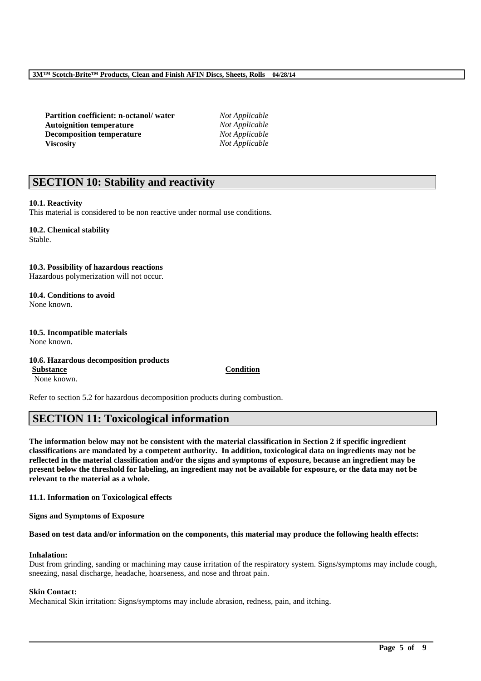**Partition coefficient: n-octanol/ water** *Not Applicable* **Autoignition temperature** *Not Applicable* **Decomposition temperature** *Not Applicable* **Viscosity** *Not Applicable*

# **SECTION 10: Stability and reactivity**

# **10.1. Reactivity**

This material is considered to be non reactive under normal use conditions.

#### **10.2. Chemical stability** Stable.

**10.3. Possibility of hazardous reactions** Hazardous polymerization will not occur.

**10.4. Conditions to avoid** None known.

#### **10.5. Incompatible materials** None known.

#### **10.6. Hazardous decomposition products Substance Condition**

None known.

Refer to section 5.2 for hazardous decomposition products during combustion.

# **SECTION 11: Toxicological information**

**The information below may not be consistent with the material classification in Section 2 if specific ingredient classifications are mandated by a competent authority. In addition, toxicological data on ingredients may not be reflected in the material classification and/or the signs and symptoms of exposure, because an ingredient may be present below the threshold for labeling, an ingredient may not be available for exposure, or the data may not be relevant to the material as a whole.**

**11.1. Information on Toxicological effects**

**Signs and Symptoms of Exposure**

# **Based on test data and/or information on the components, this material may produce the following health effects:**

# **Inhalation:**

Dust from grinding, sanding or machining may cause irritation of the respiratory system. Signs/symptoms may include cough, sneezing, nasal discharge, headache, hoarseness, and nose and throat pain.

\_\_\_\_\_\_\_\_\_\_\_\_\_\_\_\_\_\_\_\_\_\_\_\_\_\_\_\_\_\_\_\_\_\_\_\_\_\_\_\_\_\_\_\_\_\_\_\_\_\_\_\_\_\_\_\_\_\_\_\_\_\_\_\_\_\_\_\_\_\_\_\_\_\_\_\_\_\_\_\_\_\_\_\_\_\_\_\_\_\_

# **Skin Contact:**

Mechanical Skin irritation: Signs/symptoms may include abrasion, redness, pain, and itching.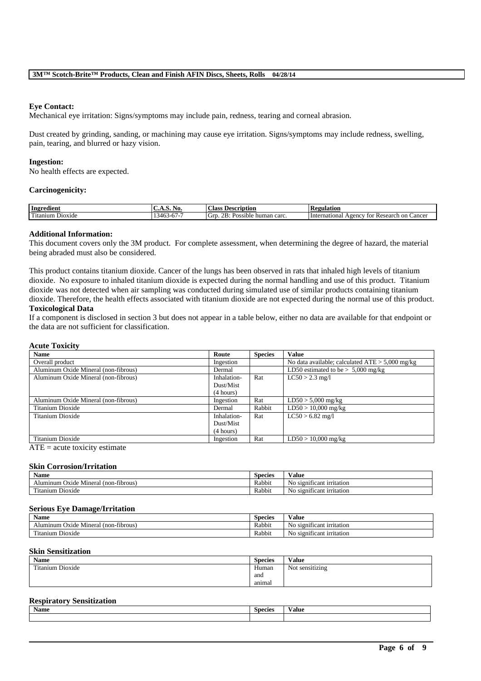#### **Eye Contact:**

Mechanical eye irritation: Signs/symptoms may include pain, redness, tearing and corneal abrasion.

Dust created by grinding, sanding, or machining may cause eye irritation. Signs/symptoms may include redness, swelling, pain, tearing, and blurred or hazy vision.

#### **Ingestion:**

No health effects are expected.

## **Carcinogenicity:**

| Ingredient                | $\mathbf{A}$<br>.<br><b>A.L.</b> | <b>Class</b><br><b>Description</b>                            | <b>Regulation</b>                                                     |
|---------------------------|----------------------------------|---------------------------------------------------------------|-----------------------------------------------------------------------|
| m.<br>Dioxide<br>`itanıum | 346.<br>.<br>$\cdot$             | $\mathbf{r}$<br>GIT<br>human carc.<br>sible.<br>$\sim$<br>'OS | ∠ancer<br>Research<br>on<br>International<br>A <sub>genc</sub><br>tor |

#### **Additional Information:**

This document covers only the 3M product. For complete assessment, when determining the degree of hazard, the material being abraded must also be considered.

This product contains titanium dioxide. Cancer of the lungs has been observed in rats that inhaled high levels of titanium dioxide. No exposure to inhaled titanium dioxide is expected during the normal handling and use of this product. Titanium dioxide was not detected when air sampling was conducted during simulated use of similar products containing titanium dioxide. Therefore, the health effects associated with titanium dioxide are not expected during the normal use of this product. **Toxicological Data**

#### If a component is disclosed in section 3 but does not appear in a table below, either no data are available for that endpoint or the data are not sufficient for classification.

### **Acute Toxicity**

| <b>Name</b>                          | Route       | <b>Species</b> | <b>Value</b>                                      |
|--------------------------------------|-------------|----------------|---------------------------------------------------|
| Overall product                      | Ingestion   |                | No data available; calculated $ATE > 5,000$ mg/kg |
| Aluminum Oxide Mineral (non-fibrous) | Dermal      |                | LD50 estimated to be $> 5,000$ mg/kg              |
| Aluminum Oxide Mineral (non-fibrous) | Inhalation- | Rat            | $LC50 > 2.3$ mg/l                                 |
|                                      | Dust/Mist   |                |                                                   |
|                                      | (4 hours)   |                |                                                   |
| Aluminum Oxide Mineral (non-fibrous) | Ingestion   | Rat            | $LD50 > 5,000$ mg/kg                              |
| Titanium Dioxide                     | Dermal      | Rabbit         | $LD50 > 10,000$ mg/kg                             |
| Titanium Dioxide                     | Inhalation- | Rat            | $LC50 > 6.82$ mg/l                                |
|                                      | Dust/Mist   |                |                                                   |
|                                      | (4 hours)   |                |                                                   |
| Titanium Dioxide                     | Ingestion   | Rat            | $LD50 > 10,000$ mg/kg                             |

 $ATE = acute$  toxicity estimate

# **Skin Corrosion/Irritation**

| $\bullet$ $\bullet$<br>Name                                           | <b>Species</b> | $-$<br>Value                                        |
|-----------------------------------------------------------------------|----------------|-----------------------------------------------------|
| fibrous.<br>non-<br>Mineral<br><b>Oxide</b><br>Alumınum               | Rabbit         | $\sim$<br>No<br>t irritation<br>- s1gn1<br>.111cant |
| - -<br>m.<br>D <sub>10</sub> x <sub>1</sub> de<br><sup>1</sup> tanium | Rabbit         | $\sim$<br>No<br>o significant irritation            |

#### **Serious Eye Damage/Irritation**

| <b>Name</b>                                                            | $\sim$<br><b>Species</b> | $\mathbf{v}$<br>'alue                                |
|------------------------------------------------------------------------|--------------------------|------------------------------------------------------|
| $\cdot$ $\cdot$<br>$(non-tibrous)$<br>$Oxide$ .<br>Alumınum<br>Mineral | Rabbit                   | . .<br>$\mathbf{v}$<br>N0.<br>significant irritation |
| m.<br>$\sim$ .<br>l'itanium Dioxide                                    | Rabbit                   | . .<br>No<br>significant irritation                  |

#### **Skin Sensitization**

| Name                  | $\sim$<br><b>Species</b> | Value           |
|-----------------------|--------------------------|-----------------|
| Dioxide<br>Titanium L | Human                    | Not sensitizing |
|                       | and                      |                 |
|                       | anımal                   |                 |

# **Respiratory Sensitization**

| <b>Name</b> | <b>Species</b> | $- -$<br>Value |
|-------------|----------------|----------------|
|             |                |                |

\_\_\_\_\_\_\_\_\_\_\_\_\_\_\_\_\_\_\_\_\_\_\_\_\_\_\_\_\_\_\_\_\_\_\_\_\_\_\_\_\_\_\_\_\_\_\_\_\_\_\_\_\_\_\_\_\_\_\_\_\_\_\_\_\_\_\_\_\_\_\_\_\_\_\_\_\_\_\_\_\_\_\_\_\_\_\_\_\_\_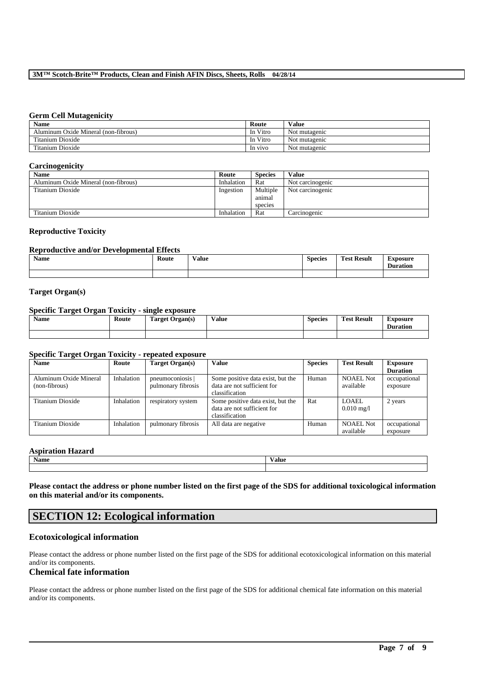#### **3M™ Scotch-Brite™ Products, Clean and Finish AFIN Discs, Sheets, Rolls 04/28/14**

#### **Germ Cell Mutagenicity**

| <b>Name</b>                          | Route    | <b>Value</b>  |
|--------------------------------------|----------|---------------|
| Aluminum Oxide Mineral (non-fibrous) | In Vitro | Not mutagenic |
| Titanium Dioxide                     | In Vitro | Not mutagenic |
| Titanium Dioxide                     | In vivo  | Not mutagenic |

#### **Carcinogenicity**

| $\cdot$                              |            |                |                  |
|--------------------------------------|------------|----------------|------------------|
| <b>Name</b>                          | Route      | <b>Species</b> | Value            |
| Aluminum Oxide Mineral (non-fibrous) | Inhalation | Rat            | Not carcinogenic |
| Titanium Dioxide                     | Ingestion  | Multiple       | Not carcinogenic |
|                                      |            | animal         |                  |
|                                      |            | species        |                  |
| Titanium Dioxide                     | Inhalation | Rat            | Carcinogenic     |

#### **Reproductive Toxicity**

#### **Reproductive and/or Developmental Effects**

| Name | Route | Value<br>. | <b>Species</b> | <b>Test Result</b><br><b>CONTRACTOR</b> | ∆xposure<br><b>Duration</b> |
|------|-------|------------|----------------|-----------------------------------------|-----------------------------|
|      |       |            |                |                                         |                             |

## **Target Organ(s)**

#### **Specific Target Organ Toxicity - single exposure**

| Name | Route | <b>Target Organ(s)</b> | Value | <b>Species</b> | <b>Test Result</b> | <b>Exposure</b><br><b>Duration</b> |
|------|-------|------------------------|-------|----------------|--------------------|------------------------------------|
|      |       |                        |       |                |                    |                                    |

## **Specific Target Organ Toxicity - repeated exposure**

| <b>Name</b>                             | Route      | Target Organ(s)                        | <b>Value</b>                                                                       | <b>Species</b> | <b>Test Result</b>               | <b>Exposure</b><br><b>Duration</b> |
|-----------------------------------------|------------|----------------------------------------|------------------------------------------------------------------------------------|----------------|----------------------------------|------------------------------------|
| Aluminum Oxide Mineral<br>(non-fibrous) | Inhalation | pneumoconiosis  <br>pulmonary fibrosis | Some positive data exist, but the<br>data are not sufficient for<br>classification | Human          | <b>NOAEL Not</b><br>available    | occupational<br>exposure           |
| Titanium Dioxide                        | Inhalation | respiratory system                     | Some positive data exist, but the<br>data are not sufficient for<br>classification | Rat            | LOAEL<br>$0.010 \,\mathrm{mg}/l$ | 2 years                            |
| Titanium Dioxide                        | Inhalation | pulmonary fibrosis                     | All data are negative                                                              | Human          | <b>NOAEL Not</b><br>available    | occupational<br>exposure           |

# **Aspiration Hazard**

| Aspii auvii 11azai u |       |  |  |  |  |  |
|----------------------|-------|--|--|--|--|--|
| Name                 | Value |  |  |  |  |  |
|                      |       |  |  |  |  |  |

**Please contact the address or phone number listed on the first page of the SDS for additional toxicological information on this material and/or its components.**

# **SECTION 12: Ecological information**

# **Ecotoxicological information**

Please contact the address or phone number listed on the first page of the SDS for additional ecotoxicological information on this material and/or its components.

# **Chemical fate information**

Please contact the address or phone number listed on the first page of the SDS for additional chemical fate information on this material and/or its components.

\_\_\_\_\_\_\_\_\_\_\_\_\_\_\_\_\_\_\_\_\_\_\_\_\_\_\_\_\_\_\_\_\_\_\_\_\_\_\_\_\_\_\_\_\_\_\_\_\_\_\_\_\_\_\_\_\_\_\_\_\_\_\_\_\_\_\_\_\_\_\_\_\_\_\_\_\_\_\_\_\_\_\_\_\_\_\_\_\_\_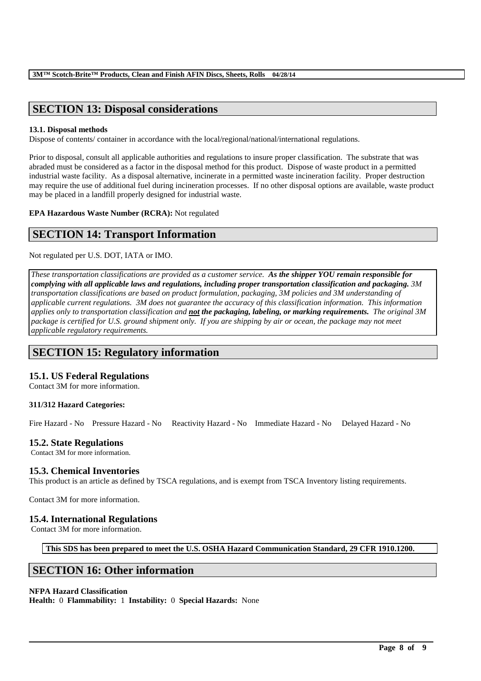# **SECTION 13: Disposal considerations**

# **13.1. Disposal methods**

Dispose of contents/ container in accordance with the local/regional/national/international regulations.

Prior to disposal, consult all applicable authorities and regulations to insure proper classification. The substrate that was abraded must be considered as a factor in the disposal method for this product. Dispose of waste product in a permitted industrial waste facility. As a disposal alternative, incinerate in a permitted waste incineration facility. Proper destruction may require the use of additional fuel during incineration processes. If no other disposal options are available, waste product may be placed in a landfill properly designed for industrial waste.

**EPA Hazardous Waste Number (RCRA):** Not regulated

# **SECTION 14: Transport Information**

Not regulated per U.S. DOT, IATA or IMO.

*These transportation classifications are provided as a customer service. As the shipper YOU remain responsible for complying with all applicable laws and regulations, including proper transportation classification and packaging. 3M transportation classifications are based on product formulation, packaging, 3M policies and 3M understanding of applicable current regulations. 3M does not guarantee the accuracy of this classification information. This information applies only to transportation classification and not the packaging, labeling, or marking requirements. The original 3M package is certified for U.S. ground shipment only. If you are shipping by air or ocean, the package may not meet applicable regulatory requirements.* 

# **SECTION 15: Regulatory information**

# **15.1. US Federal Regulations**

Contact 3M for more information.

# **311/312 Hazard Categories:**

Fire Hazard - No Pressure Hazard - No Reactivity Hazard - No Immediate Hazard - No Delayed Hazard - No

# **15.2. State Regulations**

Contact 3M for more information.

# **15.3. Chemical Inventories**

This product is an article as defined by TSCA regulations, and is exempt from TSCA Inventory listing requirements.

Contact 3M for more information.

# **15.4. International Regulations**

Contact 3M for more information.

**This SDS has been prepared to meet the U.S. OSHA Hazard Communication Standard, 29 CFR 1910.1200.**

\_\_\_\_\_\_\_\_\_\_\_\_\_\_\_\_\_\_\_\_\_\_\_\_\_\_\_\_\_\_\_\_\_\_\_\_\_\_\_\_\_\_\_\_\_\_\_\_\_\_\_\_\_\_\_\_\_\_\_\_\_\_\_\_\_\_\_\_\_\_\_\_\_\_\_\_\_\_\_\_\_\_\_\_\_\_\_\_\_\_

# **SECTION 16: Other information**

# **NFPA Hazard Classification**

**Health:** 0 **Flammability:** 1 **Instability:** 0 **Special Hazards:** None